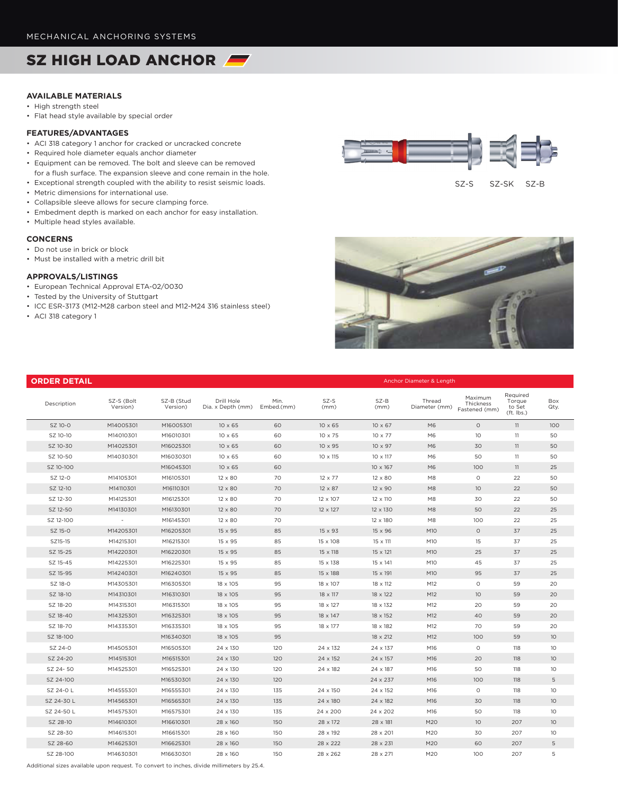# SZ HIGH LOAD ANCHOR

# **AVAILABLE MATERIALS**

- High strength steel
- Flat head style available by special order

### **FEATURES/ADVANTAGES**

- ACI 318 category 1 anchor for cracked or uncracked concrete
- Required hole diameter equals anchor diameter
- Equipment can be removed. The bolt and sleeve can be removed for a flush surface. The expansion sleeve and cone remain in the hole.
- Exceptional strength coupled with the ability to resist seismic loads.
- Metric dimensions for international use.
- Collapsible sleeve allows for secure clamping force.
- Embedment depth is marked on each anchor for easy installation.
- Multiple head styles available.

#### **CONCERNS**

- Do not use in brick or block
- Must be installed with a metric drill bit

## **APPROVALS/LISTINGS**

- European Technical Approval ETA-02/0030
- Tested by the University of Stuttgart
- ICC ESR-3173 (M12-M28 carbon steel and M12-M24 316 stainless steel)
- ACI 318 category 1



SZ-S SZ-SK SZ-B



| <b>ORDER DETAIL</b> |                        | Anchor Diameter & Length |                                 |                    |                 |                 |                         |                                       |                                            |                 |  |  |
|---------------------|------------------------|--------------------------|---------------------------------|--------------------|-----------------|-----------------|-------------------------|---------------------------------------|--------------------------------------------|-----------------|--|--|
| Description         | SZ-S (Bolt<br>Version) | SZ-B (Stud<br>Version)   | Drill Hole<br>Dia. x Depth (mm) | Min.<br>Embed.(mm) | SZ-S<br>(mm)    | SZ-B<br>(mm)    | Thread<br>Diameter (mm) | Maximum<br>Thickness<br>Fastened (mm) | Required<br>Torque<br>to Set<br>(ft. lbs.) | Box<br>Qty.     |  |  |
| SZ 10-0             | M14005301              | M16005301                | $10 \times 65$                  | 60                 | $10 \times 65$  | $10 \times 67$  | M <sub>6</sub>          | $\circ$                               | 11                                         | 100             |  |  |
| SZ 10-10            | M14010301              | M16010301                | $10 \times 65$                  | 60                 | 10 x 75         | 10 x 77         | M <sub>6</sub>          | 10                                    | 11                                         | 50              |  |  |
| SZ 10-30            | M14025301              | M16025301                | $10 \times 65$                  | 60                 | $10 \times 95$  | $10 \times 97$  | M <sub>6</sub>          | 30                                    | 11                                         | 50              |  |  |
| SZ 10-50            | M14030301              | M16030301                | $10 \times 65$                  | 60                 | $10 \times 115$ | 10 x 117        | M6                      | 50                                    | 11                                         | 50              |  |  |
| SZ 10-100           |                        | M16045301                | $10 \times 65$                  | 60                 |                 | $10 \times 167$ | M <sub>6</sub>          | 100                                   | 11                                         | 25              |  |  |
| SZ 12-0             | M14105301              | M16105301                | 12 x 80                         | 70                 | $12 \times 77$  | 12 x 80         | M8                      | $\circ$                               | 22                                         | 50              |  |  |
| SZ 12-10            | M14110301              | M16110301                | $12 \times 80$                  | 70                 | $12 \times 87$  | $12 \times 90$  | M <sub>8</sub>          | 10                                    | 22                                         | 50              |  |  |
| SZ 12-30            | M14125301              | M16125301                | $12 \times 80$                  | 70                 | 12 x 107        | 12 x 110        | M8                      | 30                                    | 22                                         | 50              |  |  |
| SZ 12-50            | M14130301              | M16130301                | $12 \times 80$                  | 70                 | $12 \times 127$ | 12 x 130        | M <sub>8</sub>          | 50                                    | 22                                         | 25              |  |  |
| SZ 12-100           | $\sim$                 | M16145301                | $12 \times 80$                  | 70                 |                 | 12 x 180        | M8                      | 100                                   | 22                                         | 25              |  |  |
| SZ 15-0             | M14205301              | M16205301                | 15 x 95                         | 85                 | 15 x 93         | 15 x 96         | M <sub>10</sub>         | $\circ$                               | 37                                         | 25              |  |  |
| SZ15-15             | M14215301              | M16215301                | 15 x 95                         | 85                 | 15 x 108        | 15 x 111        | M <sub>10</sub>         | 15                                    | 37                                         | 25              |  |  |
| SZ 15-25            | M14220301              | M16220301                | 15 x 95                         | 85                 | 15 x 118        | $15 \times 121$ | M10                     | 25                                    | 37                                         | 25              |  |  |
| SZ 15-45            | M14225301              | M16225301                | 15 x 95                         | 85                 | 15 x 138        | 15 x 141        | M <sub>10</sub>         | 45                                    | 37                                         | 25              |  |  |
| SZ 15-95            | M14240301              | M16240301                | 15 x 95                         | 85                 | 15 x 188        | 15 x 191        | M <sub>10</sub>         | 95                                    | 37                                         | 25              |  |  |
| SZ 18-0             | M14305301              | M16305301                | 18 x 105                        | 95                 | 18 x 107        | 18 x 112        | M12                     | $\circ$                               | 59                                         | 20              |  |  |
| SZ 18-10            | M14310301              | M16310301                | 18 x 105                        | 95                 | 18 x 117        | 18 x 122        | M12                     | 10 <sup>°</sup>                       | 59                                         | 20              |  |  |
| SZ 18-20            | M14315301              | M16315301                | 18 x 105                        | 95                 | 18 x 127        | 18 x 132        | M12                     | 20                                    | 59                                         | 20              |  |  |
| SZ 18-40            | M14325301              | M16325301                | 18 x 105                        | 95                 | 18 x 147        | 18 x 152        | M12                     | 40                                    | 59                                         | 20              |  |  |
| SZ 18-70            | M14335301              | M16335301                | 18 x 105                        | 95                 | 18 x 177        | 18 x 182        | M12                     | 70                                    | 59                                         | 20              |  |  |
| SZ 18-100           |                        | M16340301                | 18 x 105                        | 95                 |                 | 18 x 212        | M12                     | 100                                   | 59                                         | 10 <sup>°</sup> |  |  |
| SZ 24-0             | M14505301              | M16505301                | 24 x 130                        | 120                | 24 x 132        | 24 x 137        | M16                     | $\circ$                               | 118                                        | 10 <sup>°</sup> |  |  |
| SZ 24-20            | M14515301              | M16515301                | 24 x 130                        | 120                | 24 x 152        | 24 x 157        | M16                     | 20                                    | 118                                        | 10 <sup>°</sup> |  |  |
| SZ 24-50            | M14525301              | M16525301                | 24 x 130                        | 120                | 24 x 182        | 24 x 187        | M16                     | 50                                    | 118                                        | 10 <sup>°</sup> |  |  |
| SZ 24-100           |                        | M16530301                | 24 x 130                        | 120                |                 | 24 x 237        | M16                     | 100                                   | 118                                        | 5               |  |  |
| SZ 24-0 L           | M14555301              | M16555301                | 24 x 130                        | 135                | 24 x 150        | 24 x 152        | M16                     | $\circ$                               | 118                                        | 10 <sup>°</sup> |  |  |
| SZ 24-30 L          | M14565301              | M16565301                | 24 x 130                        | 135                | 24 x 180        | 24 x 182        | M16                     | 30                                    | 118                                        | 10              |  |  |
| SZ 24-50 L          | M14575301              | M16575301                | 24 x 130                        | 135                | 24 x 200        | 24 x 202        | M16                     | 50                                    | 118                                        | 10              |  |  |
| SZ 28-10            | M14610301              | M16610301                | 28 x 160                        | 150                | 28 x 172        | 28 x 181        | M20                     | 10 <sup>°</sup>                       | 207                                        | 10              |  |  |
| SZ 28-30            | M14615301              | M16615301                | 28 x 160                        | 150                | 28 x 192        | 28 x 201        | M20                     | 30                                    | 207                                        | 10              |  |  |
| SZ 28-60            | M14625301              | M16625301                | 28 x 160                        | 150                | 28 x 222        | 28 x 231        | M20                     | 60                                    | 207                                        | 5               |  |  |
| SZ 28-100           | M14630301              | M16630301                | 28 x 160                        | 150                | 28 x 262        | 28 x 271        | M20                     | 100                                   | 207                                        | 5               |  |  |

Additional sizes available upon request. To convert to inches, divide millimeters by 25.4.